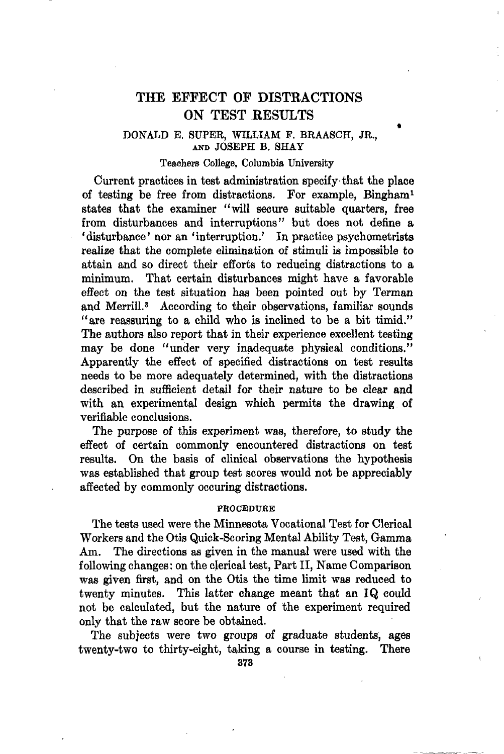# THE EFFECT OF DISTRACTIONS ON TEST RESULTS

## DONALD E. SUPER, WILLIAM F. BRAASCH, JR., AND JOSEPH B. SHAY

## Teachers College, Columbia University

Current practices in test administration specify that the place of testing be free from distractions. For example, Bingham<sup>1</sup> states that the examiner "will secure suitable quarters, free from disturbances and interruptions" but does not define a 'disturbance' nor an 'interruption.' In practice psychometrista realize that the complete elimination of stimuli is impossible to attain and so direct their efforts to reducing distractions to a minimum. That certain disturbances might have a favorable effect on the test situation has been pointed out by Terman and Merrill.<sup>8</sup> According to their observations, familiar sounds "are reassuring to a child who is inclined to be a bit timid." The authors also report that in their experience excellent testing may be done "under very inadequate physical conditions." Apparently the effect of specified distractions on test results needs to be more adequately determined, with the distractions described in sufficient detail for their nature to be clear and with an experimental design which permits the drawing of verifiable conclusions.

The purpose of this experiment was, therefore, to study the effect of certain commonly encountered distractions on test results. On the basis of clinical observations the hypothesis was established that group test scores would not be appreciably affected by commonly occuring distractions.

#### **PROCEDURE**

The tests used were the Minnesota Vocational Test for Clerical Workers and the Otis Quick-Scoring Mental Ability Test, Gamma Am. The directions as given in the manual were used with the following changes: on the clerical test, Part II, Name Comparison was given first, and on the Otis the time limit was reduced to twenty minutes. This latter change meant that an IQ could not be calculated, but the nature of the experiment required only that the raw score be obtained.

The subjects were two groups of graduate students, ages twenty-two to thirty-eight, taking a course in testing. There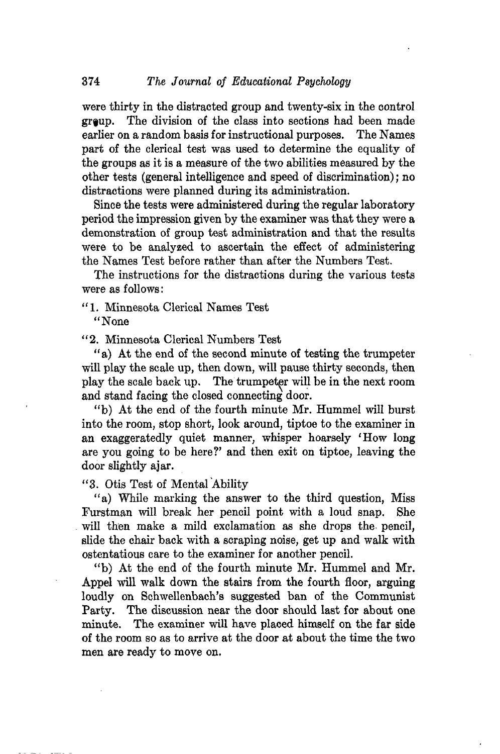were thirty in the distracted group and twenty-six in the control greup. The division of the class into sections had been made earlier on a random basis for instructional purposes. The Names part of the clerical test was used to determine the equality of the groups as it is a measure of the two abilities measured by the other tests (general intelligence and speed of discrimination); no distractions were planned during its administration.

Since the tests were administered during the regular laboratory period the impression given by the examiner was that they were a demonstration of group test administration and that the results were to be analyzed to ascertain the effect of administering the Names Test before rather than after the Numbers Test.

The instructions for the distractions during the various tests were as follows:

"1. Minnesota Clerical Names Test

"None

"2. Minnesota Clerical Numbers Test

"a) At the end of the second minute of testing the trumpeter will play the scale up, then down, will pause thirty seconds, then play the scale back up. The trumpeter will be in the next room and stand facing the closed connecting door.

"b) At the end of the fourth minute Mr. Hummel will burst into the room, stop short, look around, tiptoe to the examiner in an exaggeratedly quiet manner, whisper hoarsely 'How long are you going to be here?' and then exit on tiptoe, leaving the door slightly ajar.

"3. Otis Test of Mental Ability

"a) While marking the answer to the third question, Miss Furstman will break her pencil point with a loud snap. She will then make a mild exclamation as she drops the pencil, slide the chair back with a scraping noise, get up and walk with ostentatious care to the examiner for another pencil.

"b) At the end of the fourth minute Mr. Hummel and Mr. Appel will walk down the stairs from the fourth floor, arguing loudly on Schwellenbach's suggested ban of the Communist Party. The discussion near the door should last for about one minute. The examiner will have placed himself on the far side of the room so as to arrive at the door at about the time the two men are ready to move on.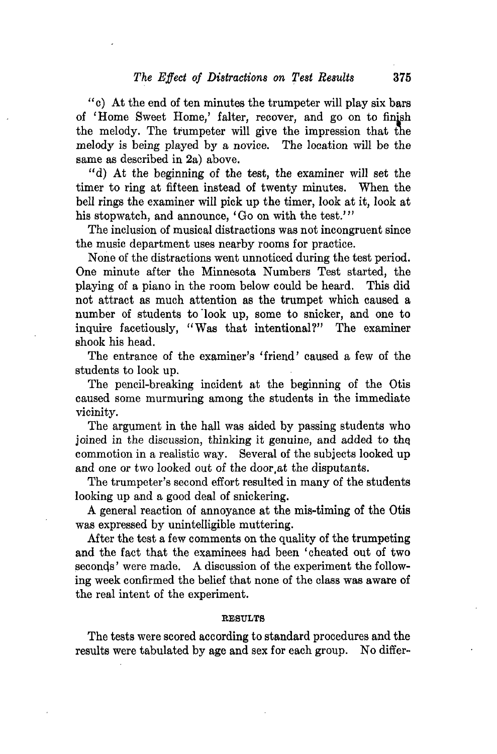"c) At the end of ten minutes the trumpeter will play six bars of 'Home Sweet Home,' falter, recover, and go on to finish the melody. The trumpeter will give the impression that the melody is being played by a novice. The location will be the same as described in 2a) above.

"d) At the beginning of the test, the examiner will set the timer to ring at fifteen instead of twenty minutes. When the bell rings the examiner will pick up the timer, look at it, look at his stopwatch, and announce, 'Go on with the test.'"

The inclusion of musical distractions was not incongruent since the music department uses nearby rooms for practice.

None of the distractions went unnoticed during the test period. One minute after the Minnesota Numbers Test started, the playing of a piano in the room below could be heard. This did not attract as much attention as the trumpet which caused a number of students to "look up, some to snicker, and one to inquire facetiously, "Was that intentional?" The examiner shook his head.

The entrance of the examiner's 'friend' caused a few of the students to look up.

The pencil-breaking incident at the beginning of the Otis caused some murmuring among the students in the immediate vicinity.

The argument in the hall was aided by passing students who joined in the discussion, thinking it genuine, and added to the. commotion in a realistic way. Several of the subjects looked up and one or two looked out of the door.at the disputants.

The trumpeter's second effort resulted in many of the students looking up and a good deal of snickering.

A general reaction of annoyance at the mis-timing of the Otis was expressed by unintelligible muttering.

After the test a few comments on the quality of the trumpeting and the fact that the examinees had been 'cheated out of two seconds' were made. A discussion of the experiment the following week confirmed the belief that none of the class was aware of the real intent of the experiment.

## **RESULTS**

The tests were scored according to standard procedures and the results were tabulated by age and sex for each group. No differ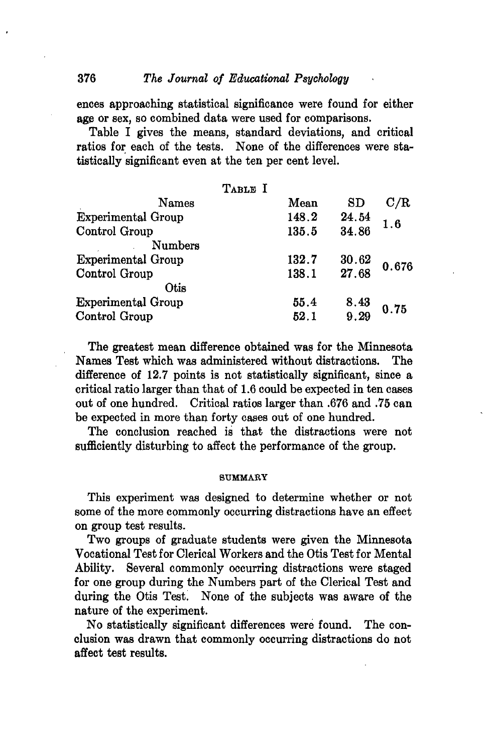ences approaching statistical significance were found for either age or sex, so combined data were used for comparisons.

Table I gives the means, standard deviations, and critical ratios for each of the tests. None of the differences were statistically significant even at the ten per cent level.

|                           | TABLE I |             |       |
|---------------------------|---------|-------------|-------|
| Names                     | Mean    | $_{\rm SD}$ | C/R   |
| <b>Experimental Group</b> | 148.2   | 24.54       | 1.6   |
| Control Group             | 135.5   | 34.86       |       |
| Numbers                   |         |             |       |
| <b>Experimental Group</b> | 132.7   | 30.62       | 0.676 |
| Control Group             | 138.1   | 27.68       |       |
| Otis                      |         |             |       |
| <b>Experimental Group</b> | 55.4    | 8.43        | 0.75  |
| Control Group             | 52.1    | 9.29        |       |
|                           |         |             |       |

The greatest mean difference obtained was for the Minnesota Names Test which was administered without distractions. The difference of 12.7 points is not statistically significant, since a critical ratio larger than that of 1.6 could be expected in ten cases out of one hundred. Critical ratios larger than .676 and .75 can be expected in more than forty cases out of one hundred.

The conclusion reached is that the distractions were not sufficiently disturbing to affect the performance of the group.

## **SUMMARY**

This experiment was designed to determine whether or not some of the more commonly occurring distractions have an effect on group test results.

Two groups of graduate students were given the Minnesota Vocational Test for Clerical Workers and the Otis Test for Mental Several commonly occurring distractions were staged for one group during the Numbers part of the Clerical Test and during the Otis Test. None of the subjects was aware of the nature of the experiment.

No statistically significant differences were found. The conclusion was drawn that commonly occurring distractions do not affect test results.